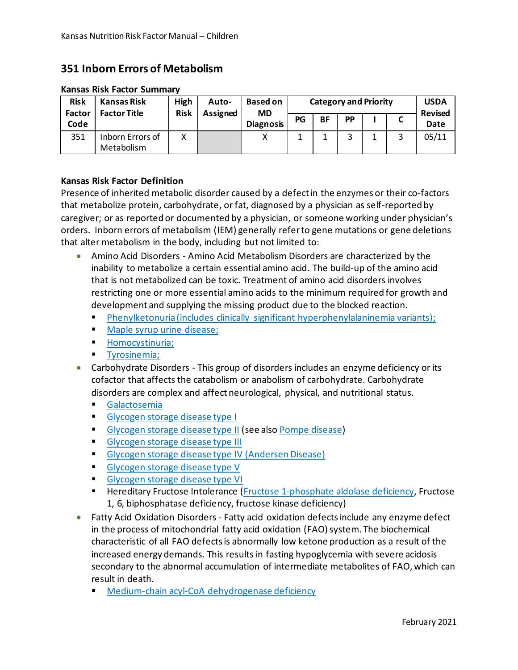## **351 Inborn Errors of Metabolism**

| <b>Risk</b><br><b>Factor</b><br>Code | Kansas Risk<br><b>Factor Title</b> | High<br><b>Risk</b> | Auto-<br>Assigned | <b>Based on</b><br><b>MD</b><br><b>Diagnosis</b> | <b>Category and Priority</b> |           |           |  |   | <b>USDA</b><br><b>Revised</b> |
|--------------------------------------|------------------------------------|---------------------|-------------------|--------------------------------------------------|------------------------------|-----------|-----------|--|---|-------------------------------|
|                                      |                                    |                     |                   |                                                  | PG                           | <b>BF</b> | <b>PP</b> |  |   | Date                          |
| 351                                  | Inborn Errors of<br>Metabolism     | х                   |                   |                                                  | ᅩ                            |           |           |  | 2 | 05/11                         |

## **Kansas Risk Factor Summary**

## **Kansas Risk Factor Definition**

Presence of inherited metabolic disorder caused by a defect in the enzymes or their co-factors that metabolize protein, carbohydrate, or fat, diagnosed by a physician as self-reported by caregiver; or as reported or documented by a physician, or someone working under physician's orders. Inborn errors of metabolism (IEM) generally refer to gene mutations or gene deletions that alter metabolism in the body, including but not limited to:

- Amino Acid Disorders Amino Acid Metabolism Disorders are characterized by the inability to metabolize a certain essential amino acid. The build-up of the amino acid that is not metabolized can be toxic. Treatment of amino acid disorders involves restricting one or more essential amino acids to the minimum required for growth and development and supplying the missing product due to the blocked reaction.
	- [Phenylketonuria \(includes clinically significant hyperphenylalaninemia variants\);](http://ghr.nlm.nih.gov/condition/phenylketonuria)
	- **[Maple syrup urine disease;](http://ghr.nlm.nih.gov/condition/maple-syrup-urine-disease)**
	- **[Homocystinuria;](http://ghr.nlm.nih.gov/condition/homocystinuria)**
	- **[Tyrosinemia;](http://ghr.nlm.nih.gov/condition/tyrosinemia)**
- Carbohydrate Disorders This group of disorders includes an enzyme deficiency or its cofactor that affects the catabolism or anabolism of carbohydrate. Carbohydrate disorders are complex and affect neurological, physical, and nutritional status.
	- [Galactosemia](http://ghr.nlm.nih.gov/condition/galactosemia)
	- [Glycogen storage disease type I](http://ghr.nlm.nih.gov/condition/glycogen-storage-disease-type-i)
	- **[Glycogen storage disease type II](http://ghr.nlm.nih.gov/condition/pompe-disease) (see also [Pompe disease\)](http://ghr.nlm.nih.gov/condition/pompe-disease)**
	- **[Glycogen storage disease type III](http://ghr.nlm.nih.gov/condition/glycogen-storage-disease-type-iii)**
	- **[Glycogen storage disease type IV \(Andersen Disease\)](http://www.rarediseases.org/search/rdbdetail_abstract.html?disname=Andersen%20Disease%20%28GSD%20IV%29)**
	- [Glycogen storage disease type V](http://ghr.nlm.nih.gov/condition/glycogen-storage-disease-type-v)
	- [Glycogen storage disease type VI](http://ghr.nlm.nih.gov/condition/glycogen-storage-disease-type-vi)
	- **Hereditary Fructose Intolerance [\(Fructose 1-phosphate aldolase deficiency,](http://www.ncbi.nlm.nih.gov/pmc/articles/PMC1051308/pdf/jmedgene00234-0001.pdf) Fructose** 1, 6, biphosphatase deficiency, fructose kinase deficiency)
- Fatty Acid Oxidation Disorders Fatty acid oxidation defects include any enzyme defect in the process of mitochondrial fatty acid oxidation (FAO) system. The biochemical characteristic of all FAO defects is abnormally low ketone production as a result of the increased energy demands. This results in fasting hypoglycemia with severe acidosis secondary to the abnormal accumulation of intermediate metabolites of FAO, which can result in death.
	- [Medium-chain acyl-CoA dehydrogenase deficiency](http://ghr.nlm.nih.gov/condition/medium-chain-acyl-coenzyme-a-dehydrogenase-deficiency)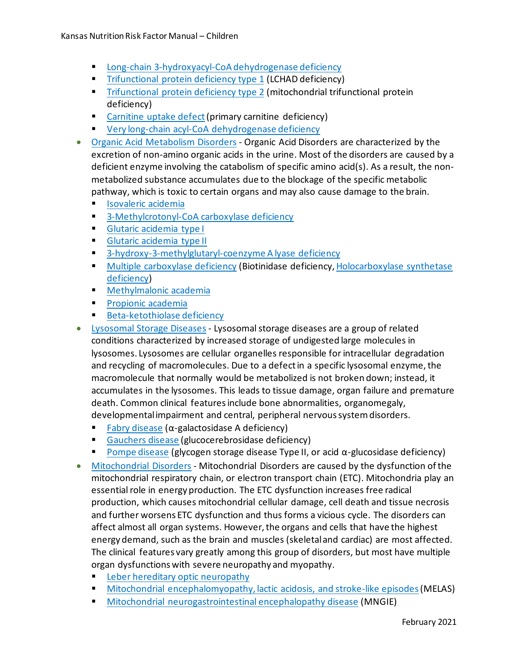- **[Long-chain 3-hydroxyacyl-CoA dehydrogenase deficiency](http://ghr.nlm.nih.gov/condition/long-chain-3-hydroxyacyl-coenzyme-a-dehydrogenase-deficiency)**
- **[Trifunctional protein deficiency type 1](http://ghr.nlm.nih.gov/condition/long-chain-3-hydroxyacyl-coenzyme-a-dehydrogenase-deficiency) (LCHAD deficiency)**
- **[Trifunctional protein deficiency type 2](http://ghr.nlm.nih.gov/condition/mitochondrial-trifunctional-protein-deficiency) (mitochondrial trifunctional protein** deficiency)
- [Carnitine uptake defect](http://ghr.nlm.nih.gov/condition/primary-carnitine-deficiency) (primary carnitine deficiency)
- **[Very long-chain acyl-CoA dehydrogenase deficiency](http://www.ncbi.nlm.nih.gov/pmc/articles/PMC1051308/pdf/jmedgene00234-0001.pdf)**
- [Organic Acid Metabolism Disorders](http://www.ncbi.nlm.nih.gov/bookshelf/br.fcgi?book=gene&part=oa-overview#oa-overview) Organic Acid Disorders are characterized by the excretion of non-amino organic acids in the urine. Most of the disorders are caused by a deficient enzyme involving the catabolism of specific amino acid(s). As a result, the nonmetabolized substance accumulates due to the blockage of the specific metabolic pathway, which is toxic to certain organs and may also cause damage to the brain.
	- **In [Isovaleric acidemia](http://ghr.nlm.nih.gov/condition/isovaleric-acidemia)**
	- **[3-Methylcrotonyl-CoA carboxylase deficiency](http://ghr.nlm.nih.gov/condition/3-methylcrotonyl-coenzyme-a-carboxylase-deficiency)**
	- **[Glutaric acidemia type I](http://ghr.nlm.nih.gov/condition/glutaric-acidemia-type-i)**
	- **[Glutaric acidemia type II](http://ghr.nlm.nih.gov/condition/glutaric-acidemia-type-ii)**
	- **[3-hydroxy-3-methylglutaryl-coenzyme A lyase deficiency](http://ghr.nlm.nih.gov/condition/3-methylcrotonyl-coenzyme-a-carboxylase-deficiency)**
	- **[Multiple carboxylase deficiency](http://ghr.nlm.nih.gov/condition/biotinidase-deficiency) (Biotinidase deficiency, Holocarboxylase synthetase** [deficiency\)](http://ghr.nlm.nih.gov/condition/holocarboxylase-synthetase-deficiency)
	- **[Methylmalonic academia](http://ghr.nlm.nih.gov/condition/methylmalonic-acidemia)**
	- **[Propionic academia](http://ghr.nlm.nih.gov/condition/propionic-acidemia)**
	- **[Beta-ketothiolase deficiency](http://ghr.nlm.nih.gov/condition/beta-ketothiolase-deficiency)**
- [Lysosomal Storage Diseases](http://www.neuropathologyweb.org/chapter10/chapter10aLSDgeneral.html#lsd) Lysosomal storage diseases are a group of related conditions characterized by increased storage of undigested large molecules in lysosomes. Lysosomes are cellular organelles responsible for intracellular degradation and recycling of macromolecules. Due to a defect in a specific lysosomal enzyme, the macromolecule that normally would be metabolized is not broken down; instead, it accumulates in the lysosomes. This leads to tissue damage, organ failure and premature death. Common clinical features include bone abnormalities, organomegaly, developmental impairment and central, peripheral nervous system disorders.
	- [Fabry disease](http://ghr.nlm.nih.gov/condition/fabry-disease)  $(\alpha$ -galactosidase A deficiency)
	- [Gauchers disease](http://ghr.nlm.nih.gov/condition/gaucher-disease) (glucocerebrosidase deficiency)
	- [Pompe disease](http://ghr.nlm.nih.gov/condition/pompe-disease) (glycogen storage disease Type II, or acid  $\alpha$ -glucosidase deficiency)
- [Mitochondrial Disorders](http://www.ncbi.nlm.nih.gov/bookshelf/br.fcgi?book=gene&part=mt-overview#mt-overview) Mitochondrial Disorders are caused by the dysfunction of the mitochondrial respiratory chain, or electron transport chain (ETC). Mitochondria play an essential role in energy production. The ETC dysfunction increases free radical production, which causes mitochondrial cellular damage, cell death and tissue necrosis and further worsens ETC dysfunction and thus forms a vicious cycle. The disorders can affect almost all organ systems. However, the organs and cells that have the highest energy demand, such as the brain and muscles (skeletal and cardiac) are most affected. The clinical features vary greatly among this group of disorders, but most have multiple organ dysfunctions with severe neuropathy and myopathy.
	- **Example 2** [Leber hereditary optic neuropathy](http://ghr.nlm.nih.gov/condition/leber-hereditary-optic-neuropathy)
	- **[Mitochondrial encephalomyopathy, lactic acidosis, and stroke-like episodes](http://ghr.nlm.nih.gov/condition/mitochondrial-neurogastrointestinal-encephalopathy-disease) (MELAS)**
	- [Mitochondrial neurogastrointestinal encephalopathy disease](http://ghr.nlm.nih.gov/condition/mitochondrial-neurogastrointestinal-encephalopathy-disease) (MNGIE)